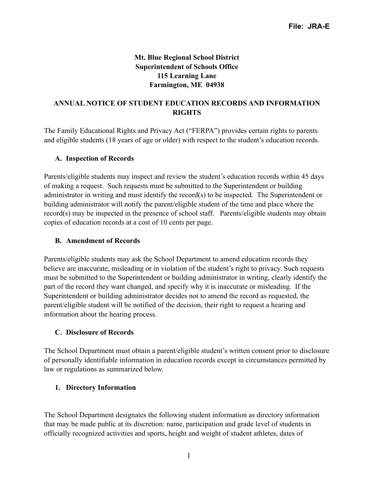### **Mt. Blue Regional School District Superintendent of Schools Office 115 Learning Lane Farmington, ME 04938**

### **ANNUAL NOTICE OF STUDENT EDUCATION RECORDS AND INFORMATION RIGHTS**

The Family Educational Rights and Privacy Act ("FERPA") provides certain rights to parents and eligible students (18 years of age or older) with respect to the student's education records.

### **A. Inspection of Records**

Parents/eligible students may inspect and review the student's education records within 45 days of making a request. Such requests must be submitted to the Superintendent or building administrator in writing and must identify the record(s) to be inspected. The Superintendent or building administrator will notify the parent/eligible student of the time and place where the record(s) may be inspected in the presence of school staff. Parents/eligible students may obtain copies of education records at a cost of 10 cents per page.

### **B. Amendment of Records**

Parents/eligible students may ask the School Department to amend education records they believe are inaccurate, misleading or in violation of the student's right to privacy. Such requests must be submitted to the Superintendent or building administrator in writing, clearly identify the part of the record they want changed, and specify why it is inaccurate or misleading. If the Superintendent or building administrator decides not to amend the record as requested, the parent/eligible student will be notified of the decision, their right to request a hearing and information about the hearing process.

### **C. Disclosure of Records**

The School Department must obtain a parent/eligible student's written consent prior to disclosure of personally identifiable information in education records except in circumstances permitted by law or regulations as summarized below.

### **1. Directory Information**

The School Department designates the following student information as directory information that may be made public at its discretion: name, participation and grade level of students in officially recognized activities and sports, height and weight of student athletes, dates of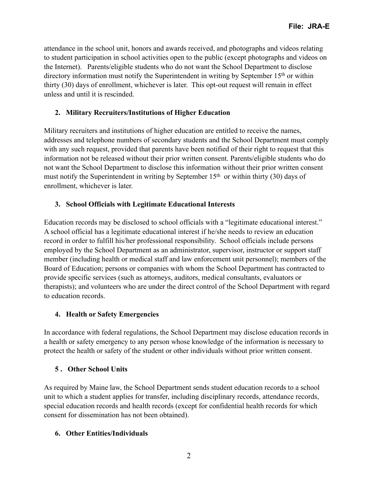attendance in the school unit, honors and awards received, and photographs and videos relating to student participation in school activities open to the public (except photographs and videos on the Internet). Parents/eligible students who do not want the School Department to disclose directory information must notify the Superintendent in writing by September 15<sup>th</sup> or within thirty (30) days of enrollment, whichever is later. This opt-out request will remain in effect unless and until it is rescinded.

## **2. Military Recruiters/Institutions of Higher Education**

Military recruiters and institutions of higher education are entitled to receive the names, addresses and telephone numbers of secondary students and the School Department must comply with any such request, provided that parents have been notified of their right to request that this information not be released without their prior written consent. Parents/eligible students who do not want the School Department to disclose this information without their prior written consent must notify the Superintendent in writing by September  $15<sup>th</sup>$  or within thirty (30) days of enrollment, whichever is later.

## **3. School Officials with Legitimate Educational Interests**

Education records may be disclosed to school officials with a "legitimate educational interest." A school official has a legitimate educational interest if he/she needs to review an education record in order to fulfill his/her professional responsibility. School officials include persons employed by the School Department as an administrator, supervisor, instructor or support staff member (including health or medical staff and law enforcement unit personnel); members of the Board of Education; persons or companies with whom the School Department has contracted to provide specific services (such as attorneys, auditors, medical consultants, evaluators or therapists); and volunteers who are under the direct control of the School Department with regard to education records.

### **4. Health or Safety Emergencies**

In accordance with federal regulations, the School Department may disclose education records in a health or safety emergency to any person whose knowledge of the information is necessary to protect the health or safety of the student or other individuals without prior written consent.

# **5 . Other School Units**

As required by Maine law, the School Department sends student education records to a school unit to which a student applies for transfer, including disciplinary records, attendance records, special education records and health records (except for confidential health records for which consent for dissemination has not been obtained).

# **6. Other Entities/Individuals**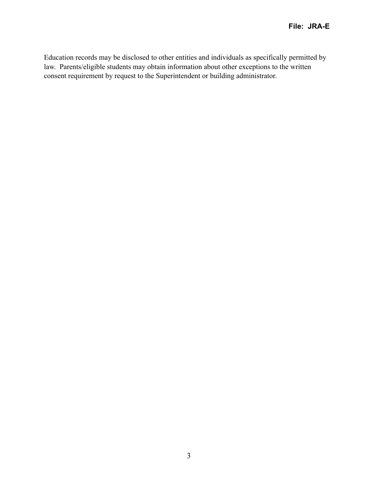Education records may be disclosed to other entities and individuals as specifically permitted by law. Parents/eligible students may obtain information about other exceptions to the written consent requirement by request to the Superintendent or building administrator.